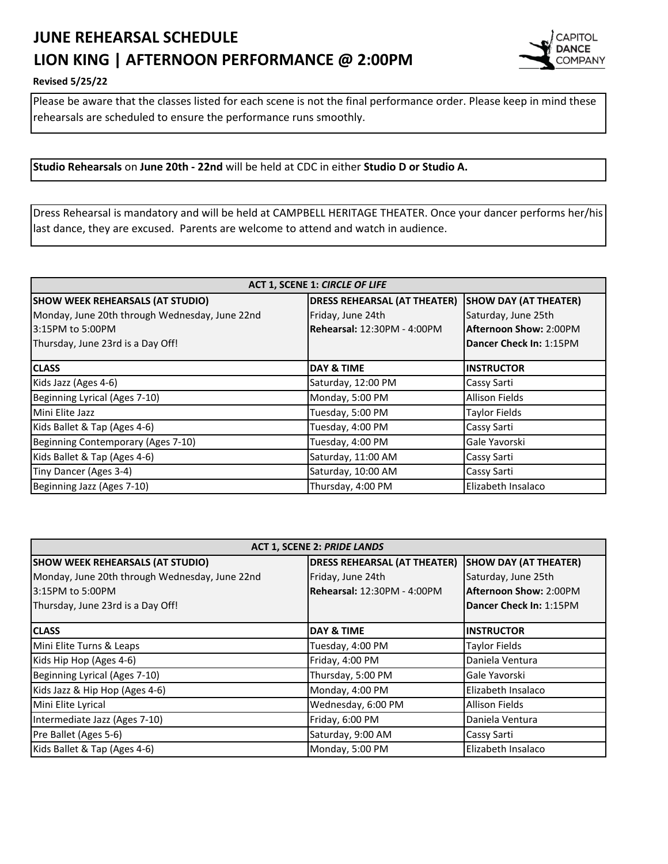## **JUNE REHEARSAL SCHEDULE LION KING | AFTERNOON PERFORMANCE @ 2:00PM**



## **Revised 5/25/22**

Please be aware that the classes listed for each scene is not the final performance order. Please keep in mind these rehearsals are scheduled to ensure the performance runs smoothly.

**Studio Rehearsals** on **June 20th - 22nd** will be held at CDC in either **Studio D or Studio A.** 

Dress Rehearsal is mandatory and will be held at CAMPBELL HERITAGE THEATER. Once your dancer performs her/his last dance, they are excused. Parents are welcome to attend and watch in audience.

| ACT 1, SCENE 1: CIRCLE OF LIFE                 |                                     |                              |  |
|------------------------------------------------|-------------------------------------|------------------------------|--|
| <b>SHOW WEEK REHEARSALS (AT STUDIO)</b>        | <b>DRESS REHEARSAL (AT THEATER)</b> | <b>SHOW DAY (AT THEATER)</b> |  |
| Monday, June 20th through Wednesday, June 22nd | Friday, June 24th                   | Saturday, June 25th          |  |
| 3:15PM to 5:00PM                               | Rehearsal: 12:30PM - 4:00PM         | Afternoon Show: 2:00PM       |  |
| Thursday, June 23rd is a Day Off!              |                                     | Dancer Check In: 1:15PM      |  |
|                                                |                                     |                              |  |
| <b>CLASS</b>                                   | DAY & TIME                          | <b>INSTRUCTOR</b>            |  |
| Kids Jazz (Ages 4-6)                           | Saturday, 12:00 PM                  | Cassy Sarti                  |  |
| Beginning Lyrical (Ages 7-10)                  | Monday, 5:00 PM                     | <b>Allison Fields</b>        |  |
| Mini Elite Jazz                                | Tuesday, 5:00 PM                    | <b>Taylor Fields</b>         |  |
| Kids Ballet & Tap (Ages 4-6)                   | Tuesday, 4:00 PM                    | Cassy Sarti                  |  |
| Beginning Contemporary (Ages 7-10)             | Tuesday, 4:00 PM                    | Gale Yavorski                |  |
| Kids Ballet & Tap (Ages 4-6)                   | Saturday, 11:00 AM                  | Cassy Sarti                  |  |
| Tiny Dancer (Ages 3-4)                         | Saturday, 10:00 AM                  | Cassy Sarti                  |  |
| Beginning Jazz (Ages 7-10)                     | Thursday, 4:00 PM                   | Elizabeth Insalaco           |  |

| <b>ACT 1, SCENE 2: PRIDE LANDS</b>             |                                     |                              |  |
|------------------------------------------------|-------------------------------------|------------------------------|--|
| <b>SHOW WEEK REHEARSALS (AT STUDIO)</b>        | <b>DRESS REHEARSAL (AT THEATER)</b> | <b>SHOW DAY (AT THEATER)</b> |  |
| Monday, June 20th through Wednesday, June 22nd | Friday, June 24th                   | Saturday, June 25th          |  |
| 3:15PM to 5:00PM                               | Rehearsal: 12:30PM - 4:00PM         | Afternoon Show: 2:00PM       |  |
| Thursday, June 23rd is a Day Off!              |                                     | Dancer Check In: 1:15PM      |  |
| <b>CLASS</b>                                   | <b>DAY &amp; TIME</b>               | <b>INSTRUCTOR</b>            |  |
| Mini Elite Turns & Leaps                       | Tuesday, 4:00 PM                    | <b>Taylor Fields</b>         |  |
| Kids Hip Hop (Ages 4-6)                        | Friday, 4:00 PM                     | Daniela Ventura              |  |
| Beginning Lyrical (Ages 7-10)                  | Thursday, 5:00 PM                   | Gale Yavorski                |  |
| Kids Jazz & Hip Hop (Ages 4-6)                 | Monday, 4:00 PM                     | Elizabeth Insalaco           |  |
| Mini Elite Lyrical                             | Wednesday, 6:00 PM                  | <b>Allison Fields</b>        |  |
| Intermediate Jazz (Ages 7-10)                  | Friday, 6:00 PM                     | Daniela Ventura              |  |
| Pre Ballet (Ages 5-6)                          | Saturday, 9:00 AM                   | Cassy Sarti                  |  |
| Kids Ballet & Tap (Ages 4-6)                   | Monday, 5:00 PM                     | Elizabeth Insalaco           |  |